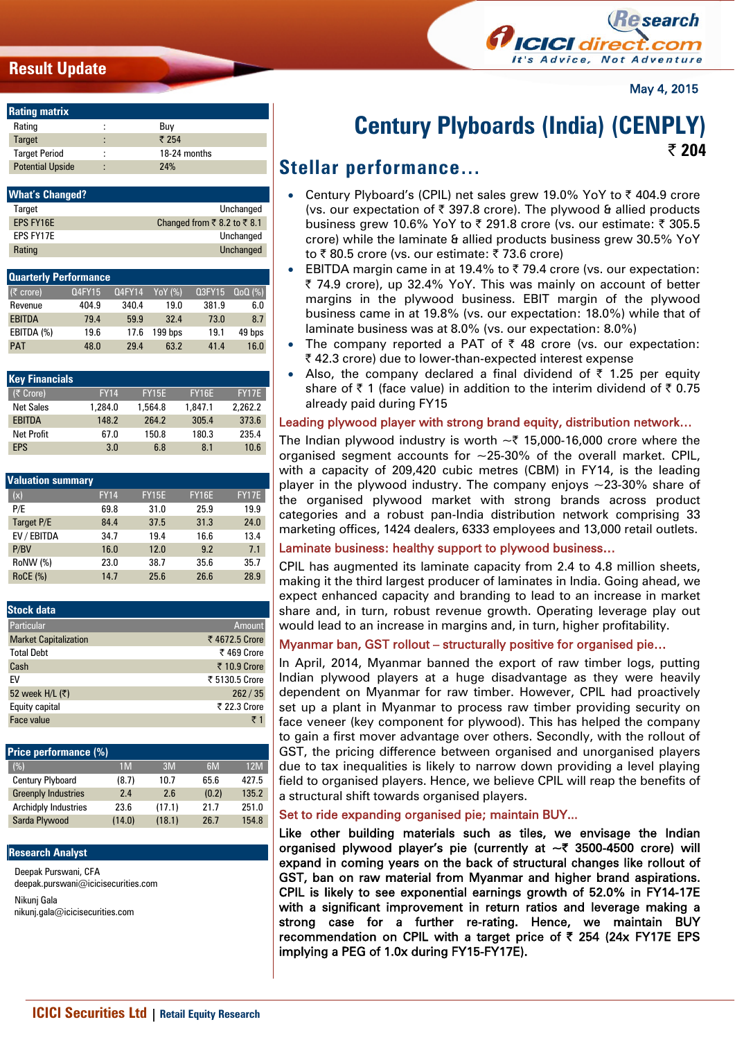# **Result Update**



May 4, 2015

| <b>Rating matrix</b>    |   |              |
|-------------------------|---|--------------|
| Rating                  |   | Buv          |
| Target                  |   | ₹ 254        |
| <b>Target Period</b>    | ٠ | 18-24 months |
| <b>Potential Upside</b> | ٠ | 74%          |

| <b>What's Changed?</b> |                             |
|------------------------|-----------------------------|
| Target                 | Unchanged                   |
| FPS FY16F              | Changed from ₹ 8.2 to ₹ 8.1 |
| FPS FY17F              | Unchanged                   |
| Rating                 | Unchanged                   |

| <b>Quarterly Performance</b> |        |               |         |               |           |
|------------------------------|--------|---------------|---------|---------------|-----------|
| $(5$ crore)                  | 04FY15 | <b>Q4FY14</b> | YoY (%) | <b>Q3FY15</b> | $QoQ(\%)$ |
| Revenue                      | 404.9  | 340.4         | 19.0    | 381.9         | 6.0       |
| <b>EBITDA</b>                | 79.4   | 59.9          | 32.4    | 73.0          | 8.7       |
| EBITDA (%)                   | 19.6   | 17.6          | 199 bps | 19.1          | 49 bps    |
| <b>PAT</b>                   | 48.0   | 29.4          | 63.2    | 41.4          | 16.0      |

| <b>Key Financials</b> |             |              |              |         |
|-----------------------|-------------|--------------|--------------|---------|
| (₹ Crore)             | <b>FY14</b> | <b>FY15E</b> | <b>FY16E</b> | FY17E   |
| <b>Net Sales</b>      | 1,284.0     | 1,564.8      | 1.847.1      | 2.262.2 |
| <b>EBITDA</b>         | 148.2       | 264.2        | 305.4        | 373.6   |
| <b>Net Profit</b>     | 67.0        | 150.8        | 180.3        | 235.4   |
| <b>FPS</b>            | 3.0         | 6.8          | 8.1          | 10.6    |

| <b>Valuation summary</b> |             |              |              |              |
|--------------------------|-------------|--------------|--------------|--------------|
| (x)                      | <b>FY14</b> | <b>FY15E</b> | <b>FY16E</b> | <b>FY17E</b> |
| P/E                      | 69.8        | 31.0         | 25.9         | 19.9         |
| Target P/E               | 84.4        | 37.5         | 31.3         | 24.0         |
| EV / EBITDA              | 34.7        | 19.4         | 16.6         | 13.4         |
| P/BV                     | 16.0        | 12.0         | 9.2          | 7.1          |
| RoNW (%)                 | 23.0        | 38.7         | 35.6         | 35.7         |
| <b>RoCE (%)</b>          | 14.7        | 25.6         | 26.6         | 28.9         |

| Amount         |
|----------------|
| ₹ 4672.5 Crore |
| ₹469 Crore     |
| ₹ 10.9 Crore   |
| ₹ 5130.5 Crore |
| 262/35         |
| ₹ 22.3 Crore   |
| ₹1             |
|                |

| <b>Price performance (%)</b> |                |        |       |       |
|------------------------------|----------------|--------|-------|-------|
| (%)                          | 1 <sub>M</sub> | 3M     | 6M    | 12M   |
| Century Plyboard             | (8.7)          | 10.7   | 65.6  | 427.5 |
| <b>Greenply Industries</b>   | 7.4            | 2.6    | (0.2) | 135.2 |
| <b>Archidply Industries</b>  | 23.6           | (17.1) | 21.7  | 251.0 |
| Sarda Plywood                | (14.0)         | (18.1) | 26.7  | 154.8 |

#### **Research Analyst**

Deepak Purswani, CFA deepak.purswani@icicisecurities.com Nikunj Gala nikunj.gala@icicisecurities.com

# **Century Plyboards (India) (CENPLY)**

**| 204**

# **Stellar performance…**

- Century Plyboard's (CPIL) net sales grew 19.0% YoY to ₹404.9 crore (vs. our expectation of  $\bar{\tau}$  397.8 crore). The plywood & allied products business grew 10.6% YoY to  $\bar{\tau}$  291.8 crore (vs. our estimate:  $\bar{\tau}$  305.5 crore) while the laminate & allied products business grew 30.5% YoY to  $\bar{\tau}$  80.5 crore (vs. our estimate:  $\bar{\tau}$  73.6 crore)
- EBITDA margin came in at 19.4% to  $\bar{\zeta}$  79.4 crore (vs. our expectation: ₹ 74.9 crore), up 32.4% YoY. This was mainly on account of better margins in the plywood business. EBIT margin of the plywood business came in at 19.8% (vs. our expectation: 18.0%) while that of laminate business was at 8.0% (vs. our expectation: 8.0%)
- The company reported a PAT of  $\bar{\tau}$  48 crore (vs. our expectation: ₹42.3 crore) due to lower-than-expected interest expense
- Also, the company declared a final dividend of  $\bar{\tau}$  1.25 per equity share of  $\bar{\tau}$  1 (face value) in addition to the interim dividend of  $\bar{\tau}$  0.75 already paid during FY15

### Leading plywood player with strong brand equity, distribution network…

The Indian plywood industry is worth  $\sim$  ₹ 15,000-16,000 crore where the organised segment accounts for  $\sim$ 25-30% of the overall market. CPIL, with a capacity of 209,420 cubic metres (CBM) in FY14, is the leading player in the plywood industry. The company enjoys  $\sim$ 23-30% share of the organised plywood market with strong brands across product categories and a robust pan-India distribution network comprising 33 marketing offices, 1424 dealers, 6333 employees and 13,000 retail outlets.

## Laminate business: healthy support to plywood business…

CPIL has augmented its laminate capacity from 2.4 to 4.8 million sheets, making it the third largest producer of laminates in India. Going ahead, we expect enhanced capacity and branding to lead to an increase in market share and, in turn, robust revenue growth. Operating leverage play out would lead to an increase in margins and, in turn, higher profitability.

#### Myanmar ban, GST rollout – structurally positive for organised pie…

In April, 2014, Myanmar banned the export of raw timber logs, putting Indian plywood players at a huge disadvantage as they were heavily dependent on Myanmar for raw timber. However, CPIL had proactively set up a plant in Myanmar to process raw timber providing security on face veneer (key component for plywood). This has helped the company to gain a first mover advantage over others. Secondly, with the rollout of GST, the pricing difference between organised and unorganised players due to tax inequalities is likely to narrow down providing a level playing field to organised players. Hence, we believe CPIL will reap the benefits of a structural shift towards organised players.

#### Set to ride expanding organised pie; maintain BUY...

Like other building materials such as tiles, we envisage the Indian organised plywood player's pie (currently at  $\sim$  3500-4500 crore) will expand in coming years on the back of structural changes like rollout of GST, ban on raw material from Myanmar and higher brand aspirations. CPIL is likely to see exponential earnings growth of 52.0% in FY14-17E with a significant improvement in return ratios and leverage making a strong case for a further re-rating. Hence, we maintain BUY recommendation on CPIL with a target price of  $\bar{\tau}$  254 (24x FY17E EPS implying a PEG of 1.0x during FY15-FY17E).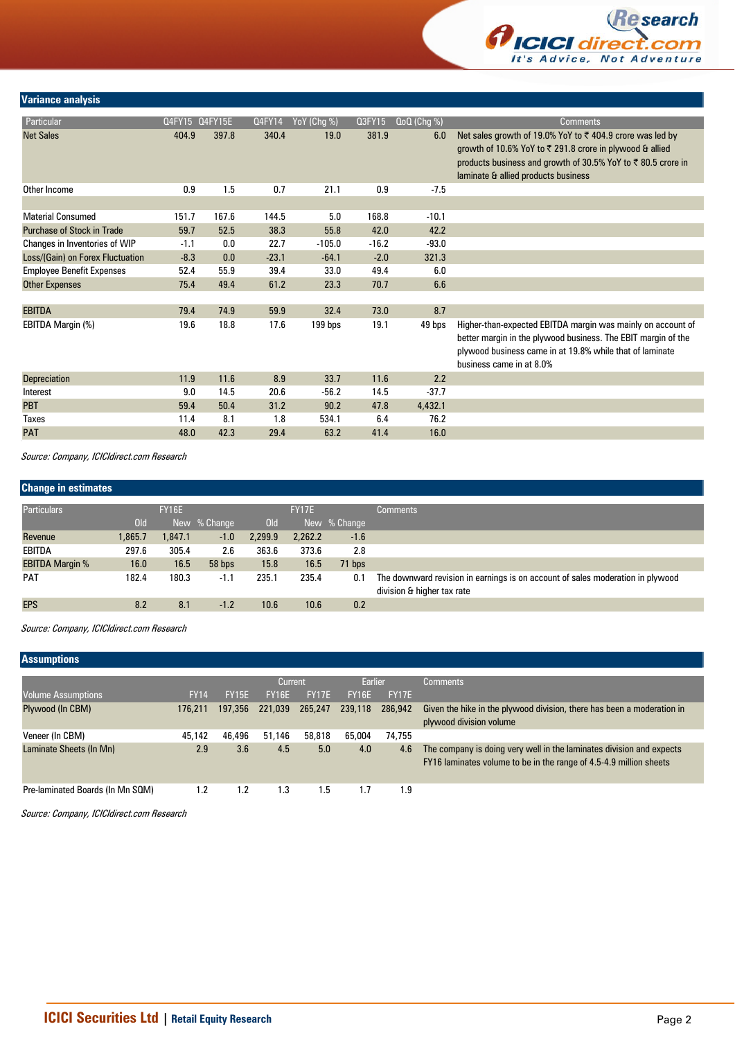

## **Variance analysis**

| Particular                        |        | Q4FY15 Q4FY15E | Q4FY14  | YoY (Chg %) | Q3FY15  | $Q_0Q$ (Chg $\%$ ) | <b>Comments</b>                                                                                                                                                                                                                           |
|-----------------------------------|--------|----------------|---------|-------------|---------|--------------------|-------------------------------------------------------------------------------------------------------------------------------------------------------------------------------------------------------------------------------------------|
| <b>Net Sales</b>                  | 404.9  | 397.8          | 340.4   | 19.0        | 381.9   | 6.0                | Net sales growth of 19.0% YoY to ₹404.9 crore was led by<br>growth of 10.6% YoY to $\overline{\xi}$ 291.8 crore in plywood & allied<br>products business and growth of 30.5% YoY to ₹80.5 crore in<br>laminate & allied products business |
| Other Income                      | 0.9    | 1.5            | 0.7     | 21.1        | 0.9     | $-7.5$             |                                                                                                                                                                                                                                           |
|                                   |        |                |         |             |         |                    |                                                                                                                                                                                                                                           |
| <b>Material Consumed</b>          | 151.7  | 167.6          | 144.5   | 5.0         | 168.8   | $-10.1$            |                                                                                                                                                                                                                                           |
| <b>Purchase of Stock in Trade</b> | 59.7   | 52.5           | 38.3    | 55.8        | 42.0    | 42.2               |                                                                                                                                                                                                                                           |
| Changes in Inventories of WIP     | $-1.1$ | 0.0            | 22.7    | $-105.0$    | $-16.2$ | $-93.0$            |                                                                                                                                                                                                                                           |
| Loss/(Gain) on Forex Fluctuation  | $-8.3$ | 0.0            | $-23.1$ | $-64.1$     | $-2.0$  | 321.3              |                                                                                                                                                                                                                                           |
| <b>Employee Benefit Expenses</b>  | 52.4   | 55.9           | 39.4    | 33.0        | 49.4    | 6.0                |                                                                                                                                                                                                                                           |
| <b>Other Expenses</b>             | 75.4   | 49.4           | 61.2    | 23.3        | 70.7    | 6.6                |                                                                                                                                                                                                                                           |
|                                   |        |                |         |             |         |                    |                                                                                                                                                                                                                                           |
| <b>EBITDA</b>                     | 79.4   | 74.9           | 59.9    | 32.4        | 73.0    | 8.7                |                                                                                                                                                                                                                                           |
| EBITDA Margin (%)                 | 19.6   | 18.8           | 17.6    | 199 bps     | 19.1    | 49 bps             | Higher-than-expected EBITDA margin was mainly on account of<br>better margin in the plywood business. The EBIT margin of the<br>plywood business came in at 19.8% while that of laminate<br>business came in at 8.0%                      |
| <b>Depreciation</b>               | 11.9   | 11.6           | 8.9     | 33.7        | 11.6    | 2.2                |                                                                                                                                                                                                                                           |
| Interest                          | 9.0    | 14.5           | 20.6    | $-56.2$     | 14.5    | $-37.7$            |                                                                                                                                                                                                                                           |
| <b>PBT</b>                        | 59.4   | 50.4           | 31.2    | 90.2        | 47.8    | 4,432.1            |                                                                                                                                                                                                                                           |
| <b>Taxes</b>                      | 11.4   | 8.1            | 1.8     | 534.1       | 6.4     | 76.2               |                                                                                                                                                                                                                                           |
| <b>PAT</b>                        | 48.0   | 42.3           | 29.4    | 63.2        | 41.4    | 16.0               |                                                                                                                                                                                                                                           |
|                                   |        |                |         |             |         |                    |                                                                                                                                                                                                                                           |

Source: Company, ICICIdirect.com Research

| <b>Change in estimates</b> |         |              |              |            |         |              |                                                                                                              |
|----------------------------|---------|--------------|--------------|------------|---------|--------------|--------------------------------------------------------------------------------------------------------------|
| <b>Particulars</b>         |         | <b>FY16E</b> |              |            | FY17E   |              | <b>Comments</b>                                                                                              |
|                            | Old     |              | New % Change | <b>Old</b> |         | New % Change |                                                                                                              |
| Revenue                    | 1,865.7 | 1,847.1      | $-1.0$       | 2,299.9    | 2,262.2 | $-1.6$       |                                                                                                              |
| EBITDA                     | 297.6   | 305.4        | 2.6          | 363.6      | 373.6   | 2.8          |                                                                                                              |
| <b>EBITDA Margin %</b>     | 16.0    | 16.5         | 58 bps       | 15.8       | 16.5    | 71 bps       |                                                                                                              |
| <b>PAT</b>                 | 182.4   | 180.3        | $-1.1$       | 235.1      | 235.4   | 0.1          | The downward revision in earnings is on account of sales moderation in plywood<br>division & higher tax rate |
| <b>EPS</b>                 | 8.2     | 8.1          | $-1.2$       | 10.6       | 10.6    | 0.2          |                                                                                                              |

Source: Company, ICICIdirect.com Research

## **Assumptions**

|                                  |             |         | Current      |         | Earlier |         | <b>Comments</b>                                                                                                                            |
|----------------------------------|-------------|---------|--------------|---------|---------|---------|--------------------------------------------------------------------------------------------------------------------------------------------|
| <b>Volume Assumptions</b>        | <b>FY14</b> | FY15E   | <b>FY16E</b> | FY17E   | FY16E   | FY17E   |                                                                                                                                            |
| Plywood (In CBM)                 | 176.211     | 197,356 | 221.039      | 265,247 | 239,118 | 286,942 | Given the hike in the plywood division, there has been a moderation in<br>plywood division volume                                          |
| Veneer (In CBM)                  | 45,142      | 46,496  | 51.146       | 58,818  | 65,004  | 74,755  |                                                                                                                                            |
| Laminate Sheets (In Mn)          | 2.9         | 3.6     | 4.5          | 5.0     | 4.0     | 4.6     | The company is doing very well in the laminates division and expects<br>FY16 laminates volume to be in the range of 4.5-4.9 million sheets |
| Pre-laminated Boards (In Mn SQM) | 1.2         | 1.2     | 1.3          | 1.5     | 1.7     | 1.9     |                                                                                                                                            |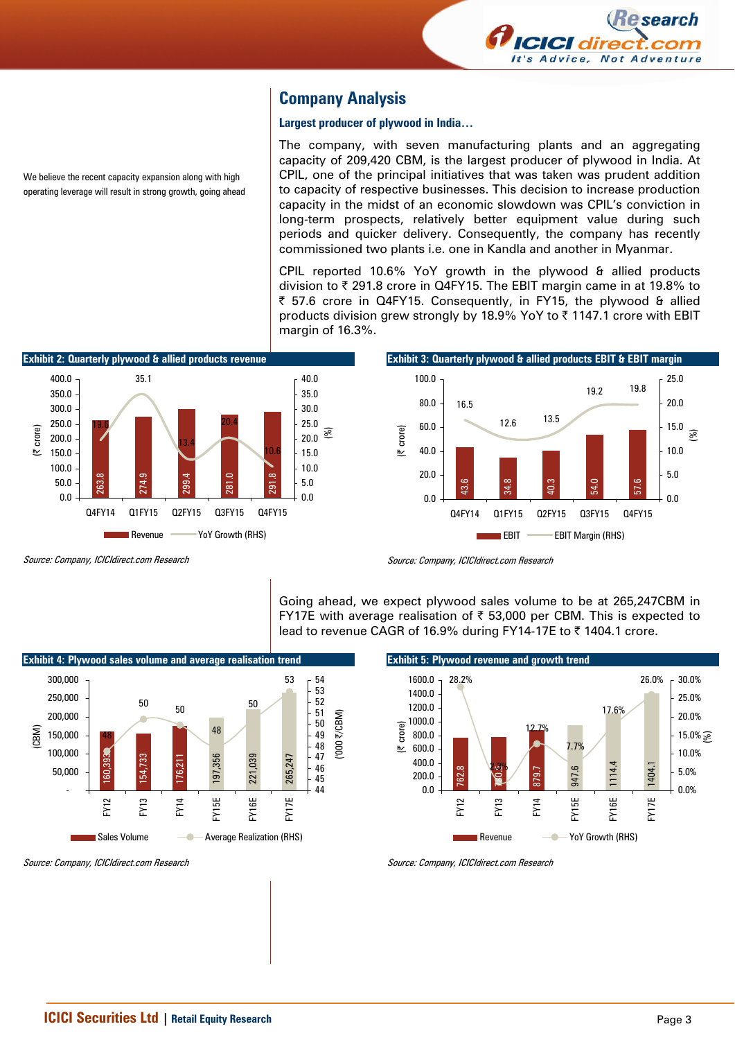

# **Company Analysis**

#### **Largest producer of plywood in India…**

The company, with seven manufacturing plants and an aggregating capacity of 209,420 CBM, is the largest producer of plywood in India. At CPIL, one of the principal initiatives that was taken was prudent addition to capacity of respective businesses. This decision to increase production capacity in the midst of an economic slowdown was CPIL's conviction in long-term prospects, relatively better equipment value during such periods and quicker delivery. Consequently, the company has recently commissioned two plants i.e. one in Kandla and another in Myanmar.

CPIL reported 10.6% YoY growth in the plywood & allied products division to  $\bar{\tau}$  291.8 crore in Q4FY15. The EBIT margin came in at 19.8% to | 57.6 crore in Q4FY15. Consequently, in FY15, the plywood & allied products division grew strongly by 18.9% YoY to  $\bar{\tau}$  1147.1 crore with EBIT margin of 16.3%.



Source: Company, ICICIdirect.com Research

We believe the recent capacity expansion along with high operating leverage will result in strong growth, going ahead



Going ahead, we expect plywood sales volume to be at 265,247CBM in FY17E with average realisation of  $\bar{\tau}$  53,000 per CBM. This is expected to lead to revenue CAGR of 16.9% during FY14-17E to  $\bar{\tau}$  1404.1 crore.



Source: Company, ICICIdirect.com Research

(CBM)



Source: Company, ICICIdirect.com Research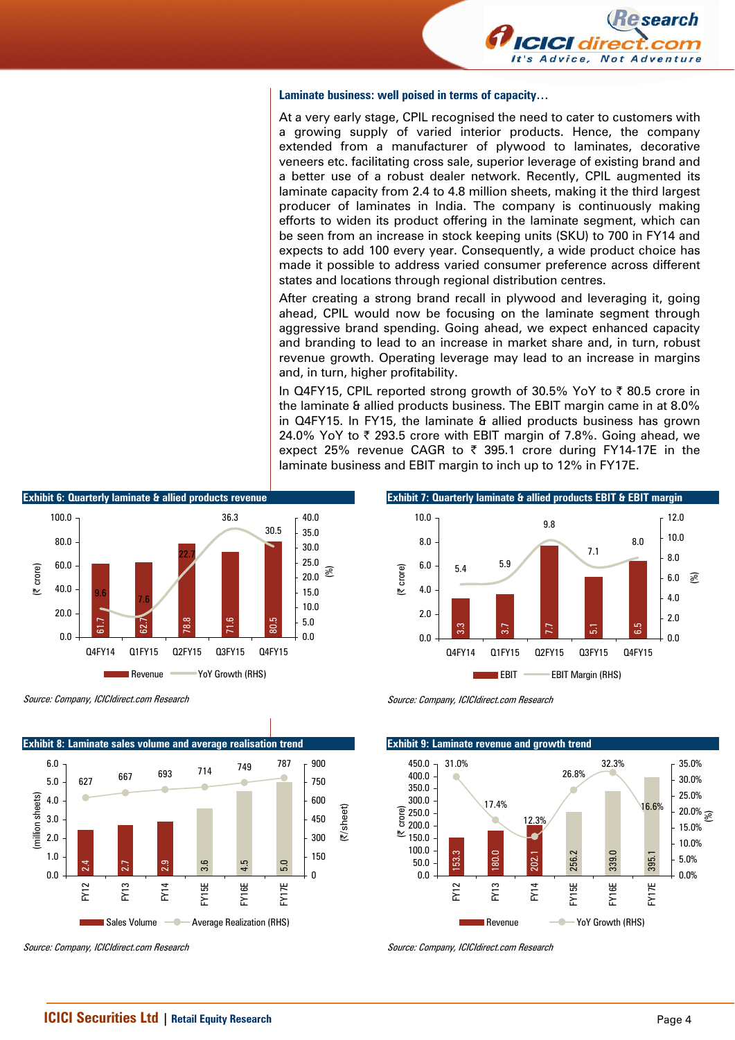

#### **Laminate business: well poised in terms of capacity…**

At a very early stage, CPIL recognised the need to cater to customers with a growing supply of varied interior products. Hence, the company extended from a manufacturer of plywood to laminates, decorative veneers etc. facilitating cross sale, superior leverage of existing brand and a better use of a robust dealer network. Recently, CPIL augmented its laminate capacity from 2.4 to 4.8 million sheets, making it the third largest producer of laminates in India. The company is continuously making efforts to widen its product offering in the laminate segment, which can be seen from an increase in stock keeping units (SKU) to 700 in FY14 and expects to add 100 every year. Consequently, a wide product choice has made it possible to address varied consumer preference across different states and locations through regional distribution centres.

After creating a strong brand recall in plywood and leveraging it, going ahead, CPIL would now be focusing on the laminate segment through aggressive brand spending. Going ahead, we expect enhanced capacity and branding to lead to an increase in market share and, in turn, robust revenue growth. Operating leverage may lead to an increase in margins and, in turn, higher profitability.

In Q4FY15, CPIL reported strong growth of 30.5% YoY to  $\bar{\tau}$  80.5 crore in the laminate & allied products business. The EBIT margin came in at 8.0% in Q4FY15. In FY15, the laminate & allied products business has grown 24.0% YoY to  $\bar{\tau}$  293.5 crore with EBIT margin of 7.8%. Going ahead, we expect 25% revenue CAGR to  $\bar{\tau}$  395.1 crore during FY14-17E in the laminate business and EBIT margin to inch up to 12% in FY17E.

 $5.4$   $5.9$ 

**Exhibit 7: Quarterly laminate & allied products EBIT & EBIT margin** 

9.8

7.1

8.0

0.0 2.0 4.0 6.0 8.0 10.0 12.0

(%)

3.3 3.7 7.7 5.1 6.5

Q4FY14 Q1FY15 Q2FY15 Q3FY15 Q4FY15

**EBIT CEBIT Margin (RHS)** 



Source: Company, ICICIdirect.com Research



Source: Company, ICICIdirect.com Research

Source: Company, ICICIdirect.com Research

0.0 2.0 4.0 6.0 8.0 10.0

(| crore)

**Exhibit 9: Laminate revenue and growth trend** 153.3<br>180.0<br>202.1<br>256.2 339.0 395.1 31.0% 17.4% 12.3% 26.8% 32.3% 16.6%  $0.0$ 50.0 100.0  $\stackrel{\text{\tiny{f\!L}}}{=}$  150.0 200.0  $250.0$ 300.0 350.0 400.0 450.0 FY12 FY13 FY14 FY15E FY16E FY17E (| crore) 0.0% 5.0% 10.0% 15.0%  $20.0\%$   $\frac{1}{\mathcal{S}}$ 25.0% 30.0% 35.0% Revenue **- Yoy Growth (RHS)**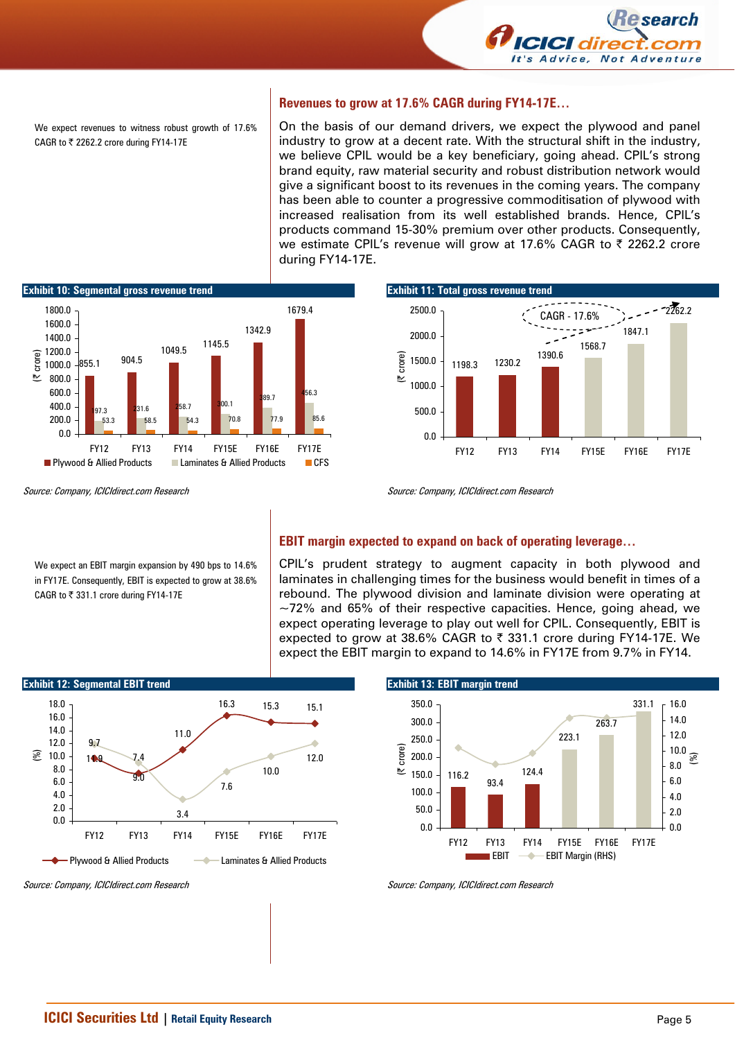

We expect revenues to witness robust growth of 17.6% CAGR to  $₹$  2262.2 crore during FY14-17E

#### **Revenues to grow at 17.6% CAGR during FY14-17E…**

On the basis of our demand drivers, we expect the plywood and panel industry to grow at a decent rate. With the structural shift in the industry, we believe CPIL would be a key beneficiary, going ahead. CPIL's strong brand equity, raw material security and robust distribution network would give a significant boost to its revenues in the coming years. The company has been able to counter a progressive commoditisation of plywood with increased realisation from its well established brands. Hence, CPIL's products command 15-30% premium over other products. Consequently, we estimate CPIL's revenue will grow at 17.6% CAGR to ₹ 2262.2 crore during FY14-17E.



Source: Company, ICICIdirect.com Research

We expect an EBIT margin expansion by 490 bps to 14.6% in FY17E. Consequently, EBIT is expected to grow at 38.6% CAGR to ₹ 331.1 crore during FY14-17E



Source: Company, ICICIdirect.com Research

#### **EBIT margin expected to expand on back of operating leverage…**

CPIL's prudent strategy to augment capacity in both plywood and laminates in challenging times for the business would benefit in times of a rebound. The plywood division and laminate division were operating at  $\sim$ 72% and 65% of their respective capacities. Hence, going ahead, we expect operating leverage to play out well for CPIL. Consequently, EBIT is expected to grow at 38.6% CAGR to ₹ 331.1 crore during FY14-17E. We expect the EBIT margin to expand to 14.6% in FY17E from 9.7% in FY14.



Source: Company, ICICIdirect.com Research

**Exhibit 13: EBIT margin trend**  116.2 93.4 124.4 223.1 263.7 331.1 0.0 50.0 100.0 150.0 200.0 250.0 300.0 350.0 FY12 FY13 FY14 FY15E FY16E FY17E (| crore) 0.0 2.0 4.0 6.0 8.0 10.0 12.0 14.0  $-16.0$ (%) EBIT **- EBIT Margin (RHS)** 

Source: Company, ICICIdirect.com Research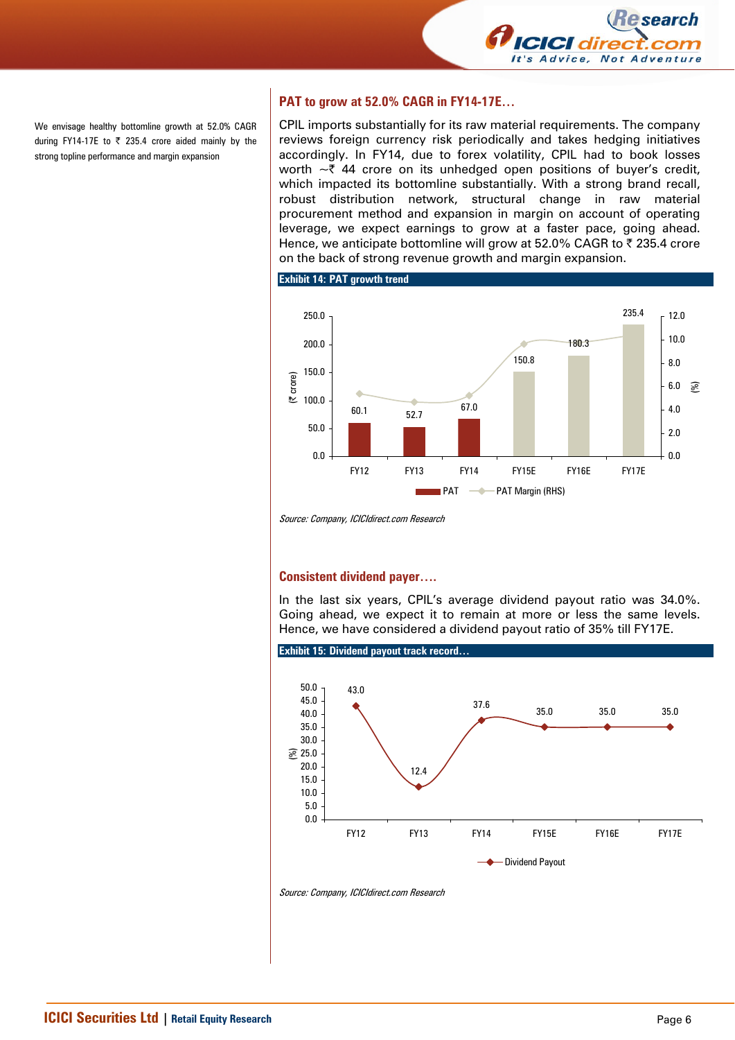

We envisage healthy bottomline growth at 52.0% CAGR during FY14-17E to  $\overline{\zeta}$  235.4 crore aided mainly by the strong topline performance and margin expansion

## **PAT to grow at 52.0% CAGR in FY14-17E…**

CPIL imports substantially for its raw material requirements. The company reviews foreign currency risk periodically and takes hedging initiatives accordingly. In FY14, due to forex volatility, CPIL had to book losses worth  $\sim$  744 crore on its unhedged open positions of buyer's credit, which impacted its bottomline substantially. With a strong brand recall, robust distribution network, structural change in raw material procurement method and expansion in margin on account of operating leverage, we expect earnings to grow at a faster pace, going ahead. Hence, we anticipate bottomline will grow at 52.0% CAGR to  $\bar{\tau}$  235.4 crore on the back of strong revenue growth and margin expansion.

**Exhibit 14: PAT growth trend** 



Source: Company, ICICIdirect.com Research

#### **Consistent dividend payer….**

In the last six years, CPIL's average dividend payout ratio was 34.0%. Going ahead, we expect it to remain at more or less the same levels. Hence, we have considered a dividend payout ratio of 35% till FY17E.



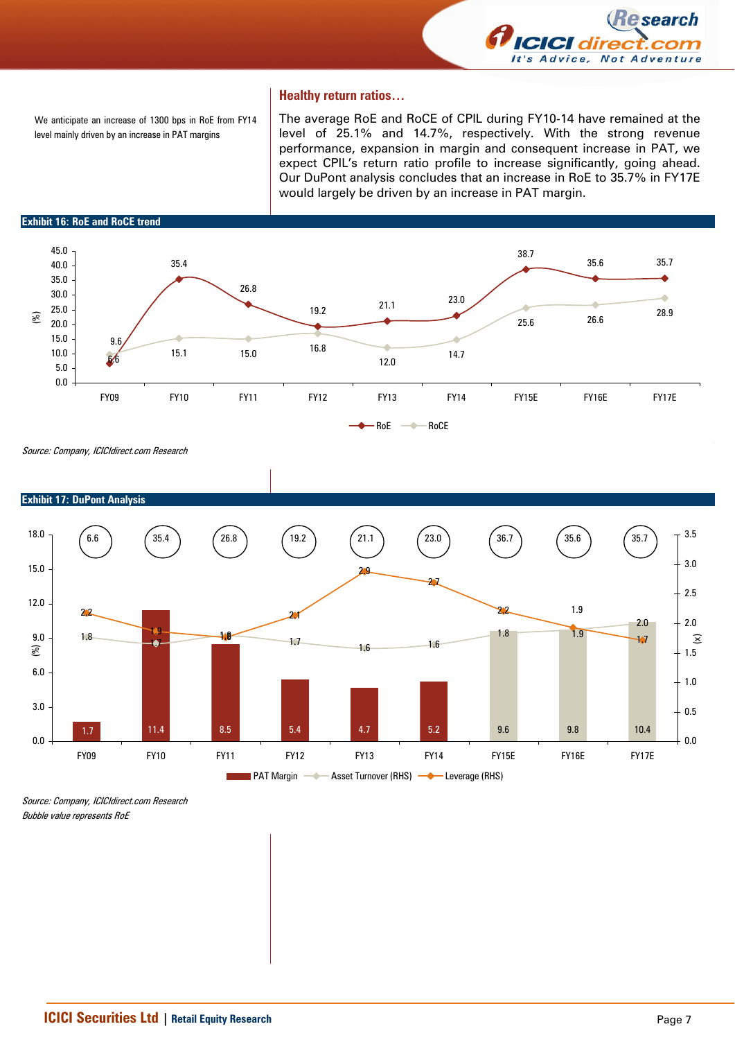

#### **Healthy return ratios…**

We anticipate an increase of 1300 bps in RoE from FY14 level mainly driven by an increase in PAT margins

The average RoE and RoCE of CPIL during FY10-14 have remained at the level of 25.1% and 14.7%, respectively. With the strong revenue performance, expansion in margin and consequent increase in PAT, we expect CPIL's return ratio profile to increase significantly, going ahead. Our DuPont analysis concludes that an increase in RoE to 35.7% in FY17E would largely be driven by an increase in PAT margin.

**Exhibit 16: RoE and RoCE trend** 



Source: Company, ICICIdirect.com Research



**Exhibit 17: DuPont Analysis** 

Source: Company, ICICIdirect.com Research Bubble value represents RoE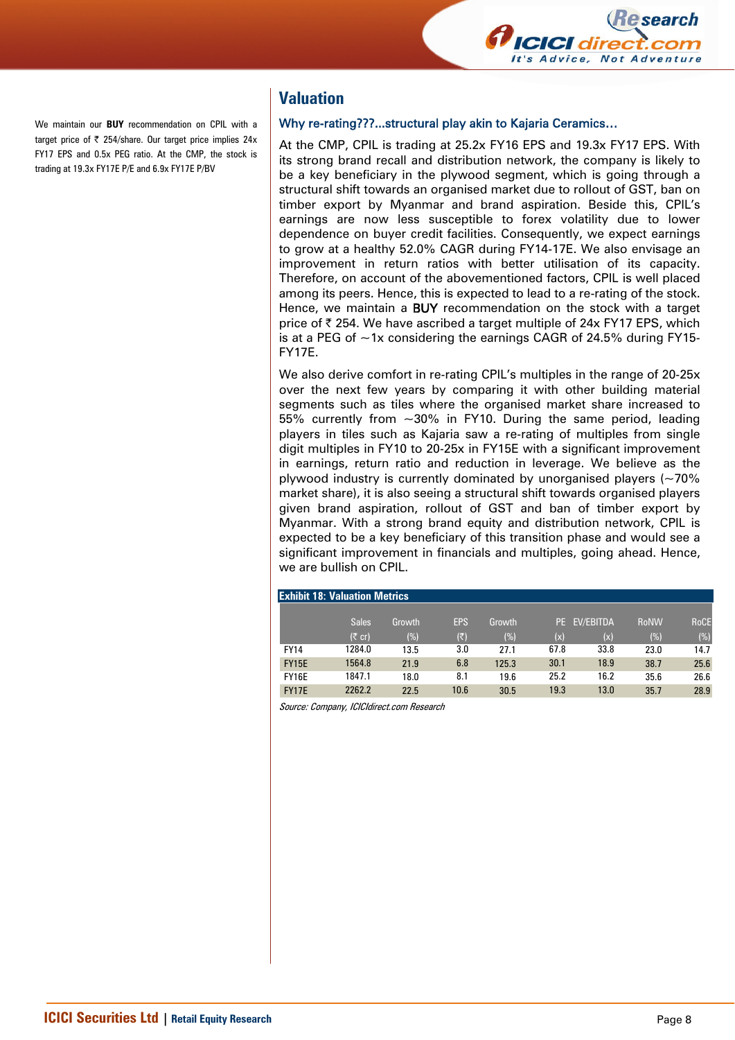

We maintain our **BUY** recommendation on CPIL with a target price of  $\overline{\zeta}$  254/share. Our target price implies 24x FY17 EPS and 0.5x PEG ratio. At the CMP, the stock is trading at 19.3x FY17E P/E and 6.9x FY17E P/BV

# **Valuation**

#### Why re-rating???...structural play akin to Kajaria Ceramics…

At the CMP, CPIL is trading at 25.2x FY16 EPS and 19.3x FY17 EPS. With its strong brand recall and distribution network, the company is likely to be a key beneficiary in the plywood segment, which is going through a structural shift towards an organised market due to rollout of GST, ban on timber export by Myanmar and brand aspiration. Beside this, CPIL's earnings are now less susceptible to forex volatility due to lower dependence on buyer credit facilities. Consequently, we expect earnings to grow at a healthy 52.0% CAGR during FY14-17E. We also envisage an improvement in return ratios with better utilisation of its capacity. Therefore, on account of the abovementioned factors, CPIL is well placed among its peers. Hence, this is expected to lead to a re-rating of the stock. Hence, we maintain a **BUY** recommendation on the stock with a target price of  $\bar{\tau}$  254. We have ascribed a target multiple of 24x FY17 EPS, which is at a PEG of  $\sim$  1x considering the earnings CAGR of 24.5% during FY15-FY17E.

We also derive comfort in re-rating CPIL's multiples in the range of 20-25x over the next few years by comparing it with other building material segments such as tiles where the organised market share increased to 55% currently from ~30% in FY10. During the same period, leading players in tiles such as Kajaria saw a re-rating of multiples from single digit multiples in FY10 to 20-25x in FY15E with a significant improvement in earnings, return ratio and reduction in leverage. We believe as the plywood industry is currently dominated by unorganised players  $(-70\%$ market share), it is also seeing a structural shift towards organised players given brand aspiration, rollout of GST and ban of timber export by Myanmar. With a strong brand equity and distribution network, CPIL is expected to be a key beneficiary of this transition phase and would see a significant improvement in financials and multiples, going ahead. Hence, we are bullish on CPIL.

|              | <b>Exhibit 18: Valuation Metrics</b> |        |            |        |      |           |             |             |
|--------------|--------------------------------------|--------|------------|--------|------|-----------|-------------|-------------|
|              |                                      |        |            |        |      |           |             |             |
|              | <b>Sales</b>                         | Growth | <b>EPS</b> | Growth | PE.  | EV/EBITDA | <b>RoNW</b> | <b>RoCE</b> |
|              | $(5 \text{ cr})$                     | (%)    | (₹)        | (%)    | (x)  | (x)       | (%)         | (%)         |
| <b>FY14</b>  | 1284.0                               | 13.5   | 3.0        | 27.1   | 67.8 | 33.8      | 23.0        | 14.7        |
| <b>FY15E</b> | 1564.8                               | 21.9   | 6.8        | 125.3  | 30.1 | 18.9      | 38.7        | 25.6        |
| <b>FY16E</b> | 1847.1                               | 18.0   | 8.1        | 19.6   | 25.2 | 16.2      | 35.6        | 26.6        |
| <b>FY17E</b> | 2262.2                               | 22.5   | 10.6       | 30.5   | 19.3 | 13.0      | 35.7        | 28.9        |
|              |                                      |        |            |        |      |           |             |             |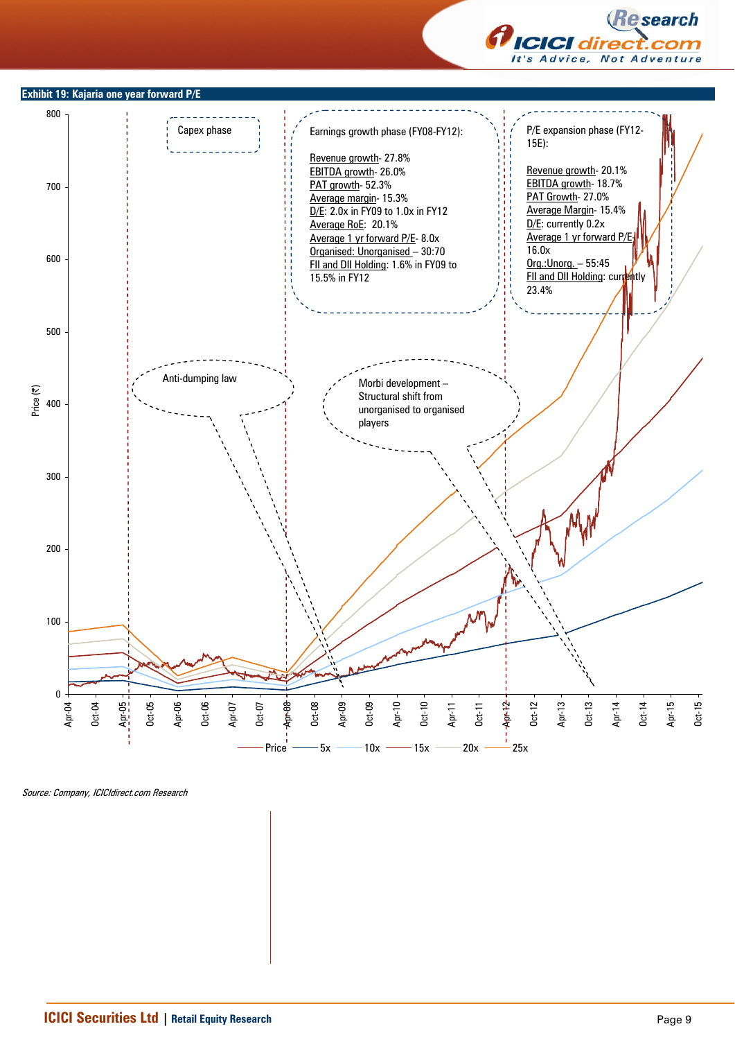

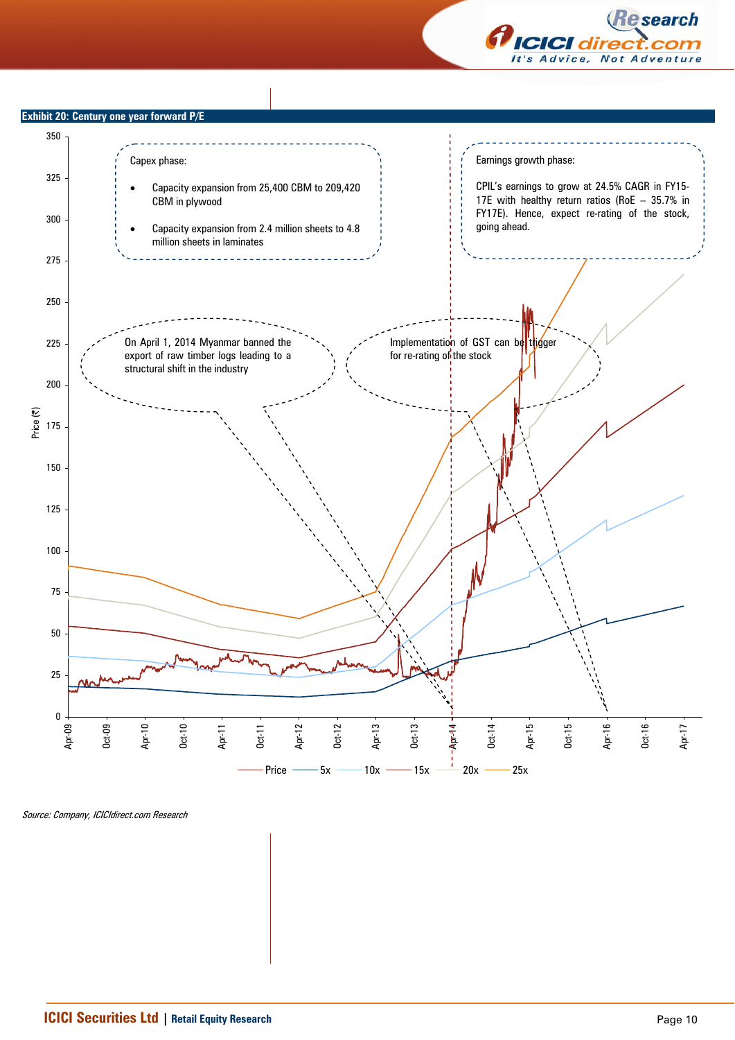



**Exhibit 20: Century one year forward**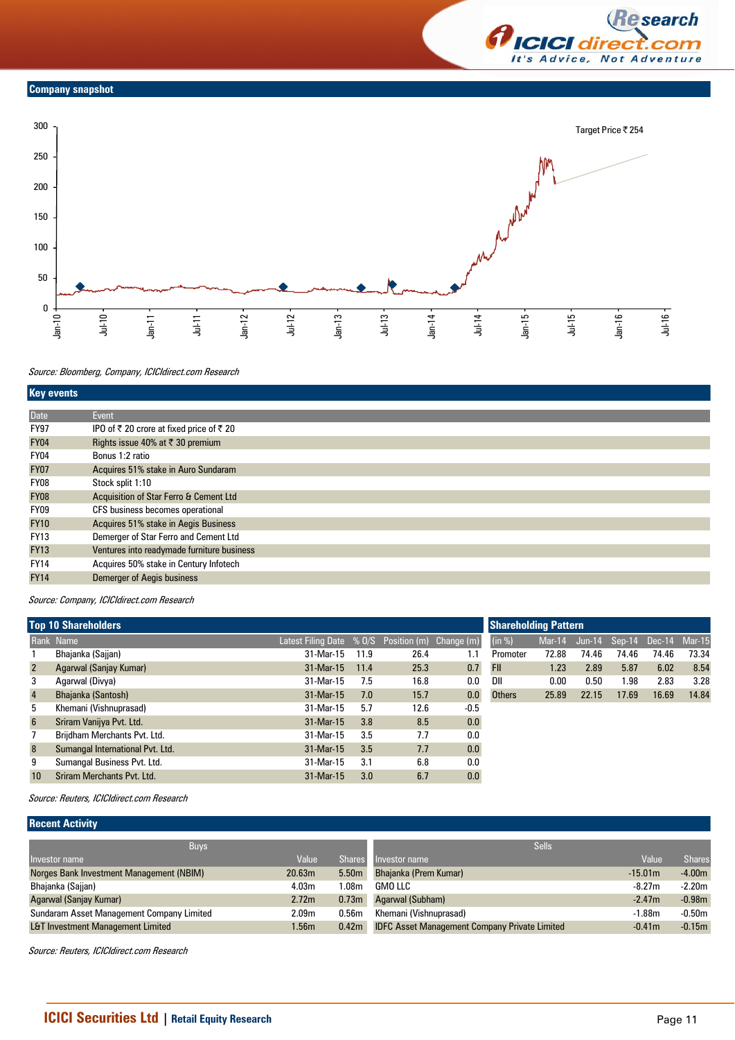

#### **Company snapshot**



#### Source: Bloomberg, Company, ICICIdirect.com Research

| <b>Key events</b> |                                            |
|-------------------|--------------------------------------------|
|                   |                                            |
| <b>Date</b>       | Event                                      |
| <b>FY97</b>       | IPO of ₹ 20 crore at fixed price of ₹ 20   |
| <b>FY04</b>       | Rights issue 40% at ₹ 30 premium           |
| <b>FY04</b>       | Bonus 1:2 ratio                            |
| <b>FY07</b>       | Acquires 51% stake in Auro Sundaram        |
| FY08              | Stock split 1:10                           |
| <b>FY08</b>       | Acquisition of Star Ferro & Cement Ltd     |
| FY09              | CFS business becomes operational           |
| <b>FY10</b>       | Acquires 51% stake in Aegis Business       |
| <b>FY13</b>       | Demerger of Star Ferro and Cement Ltd      |
| <b>FY13</b>       | Ventures into readymade furniture business |
| <b>FY14</b>       | Acquires 50% stake in Century Infotech     |
| <b>FY14</b>       | <b>Demerger of Aegis business</b>          |

Source: Company, ICICIdirect.com Research

|                 | <b>Top 10 Shareholders</b>       | <b>Shareholding Pattern</b>                      |      |      |        |               |       |       |       |                                    |       |
|-----------------|----------------------------------|--------------------------------------------------|------|------|--------|---------------|-------|-------|-------|------------------------------------|-------|
|                 | Rank Name                        | Latest Filing Date % 0/S Position (m) Change (m) |      |      |        | (in %)        |       |       |       | Mar-14 Jun-14 Sep-14 Dec-14 Mar-15 |       |
|                 | Bhajanka (Sajjan)                | 31-Mar-15                                        | 11.9 | 26.4 | 1.1    | Promoter      | 72.88 | 74.46 | 74.46 | 74.46                              | 73.34 |
| $\overline{2}$  | Agarwal (Sanjay Kumar)           | 31-Mar-15                                        | 11.4 | 25.3 | 0.7    | <b>FII</b>    | 1.23  | 2.89  | 5.87  | 6.02                               | 8.54  |
| 3               | Agarwal (Divya)                  | 31-Mar-15                                        | 7.5  | 16.8 | 0.0    | DII           | 0.00  | 0.50  | .98   | 2.83                               | 3.28  |
| $\overline{4}$  | Bhajanka (Santosh)               | 31-Mar-15                                        | 7.0  | 15.7 | 0.0    | <b>Others</b> | 25.89 | 22.15 | 17.69 | 16.69                              | 14.84 |
| 5               | Khemani (Vishnuprasad)           | 31-Mar-15                                        | 5.7  | 12.6 | $-0.5$ |               |       |       |       |                                    |       |
| $6\overline{6}$ | Sriram Vanijya Pvt. Ltd.         | 31-Mar-15                                        | 3.8  | 8.5  | 0.0    |               |       |       |       |                                    |       |
|                 | Brijdham Merchants Pvt. Ltd.     | 31-Mar-15                                        | 3.5  | 7.7  | 0.0    |               |       |       |       |                                    |       |
| 8               | Sumangal International Pvt. Ltd. | 31-Mar-15                                        | 3.5  | 7.7  | 0.0    |               |       |       |       |                                    |       |
| 9               | Sumangal Business Pvt. Ltd.      | 31-Mar-15                                        | 3.1  | 6.8  | 0.0    |               |       |       |       |                                    |       |
| 10              | Sriram Merchants Pvt. Ltd.       | 31-Mar-15                                        | 3.0  | 6.7  | 0.0    |               |       |       |       |                                    |       |

Source: Reuters, ICICIdirect.com Research

## **Recent Activity**

| <b>Buys</b>                                  |                    |                   | <b>Sells</b>                                         |           |               |
|----------------------------------------------|--------------------|-------------------|------------------------------------------------------|-----------|---------------|
| Investor name                                | Value              | <b>Shares</b>     | Investor name                                        | Value     | <b>Shares</b> |
| Norges Bank Investment Management (NBIM)     | 20.63 <sub>m</sub> | 5.50 <sub>m</sub> | Bhajanka (Prem Kumar)                                | $-15.01m$ | $-4.00m$      |
| Bhajanka (Sajjan)                            | 4.03m              | .08 <sub>m</sub>  | GMO LLC                                              | $-8.27m$  | $-2.20m$      |
| Agarwal (Sanjay Kumar)                       | 2.72m              | 0.73 <sub>m</sub> | Agarwal (Subham)                                     | $-2.47m$  | $-0.98m$      |
| Sundaram Asset Management Company Limited    | 2.09 <sub>m</sub>  | 0.56 <sub>m</sub> | Khemani (Vishnuprasad)                               | $-1.88m$  | $-0.50m$      |
| <b>L&amp;T Investment Management Limited</b> | 1.56m              | 0.42 <sub>m</sub> | <b>IDFC Asset Management Company Private Limited</b> | $-0.41m$  | $-0.15m$      |
|                                              |                    |                   |                                                      |           |               |

Source: Reuters, ICICIdirect.com Research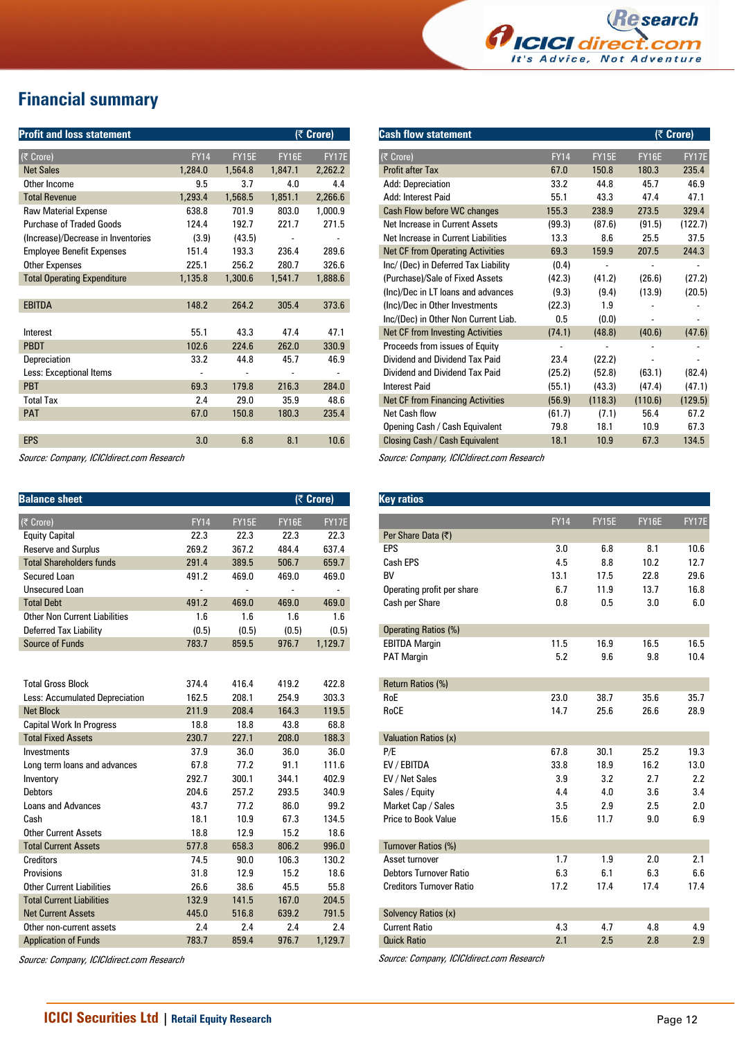

# **Financial summary**

| <b>Profit and loss statement</b>   |             |              | (₹ Crore)    |                              |
|------------------------------------|-------------|--------------|--------------|------------------------------|
|                                    |             |              |              |                              |
| $(\bar{z}$ Crore)                  | <b>FY14</b> | <b>FY15E</b> | <b>FY16E</b> | <b>FY17E</b>                 |
| <b>Net Sales</b>                   | 1,284.0     | 1,564.8      | 1,847.1      | 2,262.2                      |
| Other Income                       | 9.5         | 3.7          | 4.0          | 4.4                          |
| <b>Total Revenue</b>               | 1,293.4     | 1,568.5      | 1,851.1      | 2,266.6                      |
| <b>Raw Material Expense</b>        | 638.8       | 701.9        | 803.0        | 1,000.9                      |
| <b>Purchase of Traded Goods</b>    | 124.4       | 192.7        | 221.7        | 271.5                        |
| (Increase)/Decrease in Inventories | (3.9)       | (43.5)       |              |                              |
| <b>Employee Benefit Expenses</b>   | 151.4       | 193.3        | 236.4        | 289.6                        |
| <b>Other Expenses</b>              | 225.1       | 256.2        | 280.7        | 326.6                        |
| <b>Total Operating Expenditure</b> | 1,135.8     | 1,300.6      | 1,541.7      | 1,888.6                      |
|                                    |             |              |              |                              |
| <b>EBITDA</b>                      | 148.2       | 264.2        | 305.4        | 373.6                        |
|                                    |             |              |              |                              |
| Interest                           | 55.1        | 43.3         | 47.4         | 47.1                         |
| <b>PBDT</b>                        | 102.6       | 224.6        | 262.0        | 330.9                        |
| Depreciation                       | 33.2        | 44.8         | 45.7         | 46.9                         |
| Less: Exceptional Items            | -           |              |              | $\qquad \qquad \blacksquare$ |
| <b>PBT</b>                         | 69.3        | 179.8        | 216.3        | 284.0                        |
| <b>Total Tax</b>                   | 2.4         | 29.0         | 35.9         | 48.6                         |
| <b>PAT</b>                         | 67.0        | 150.8        | 180.3        | 235.4                        |
|                                    |             |              |              |                              |
| <b>EPS</b>                         | 3.0         | 6.8          | 8.1          | 10.6                         |
|                                    |             |              |              |                              |

Source: Company, ICICIdirect.com Research

| <b>Balance sheet</b>                 |             |              |              | (₹ Crore)    |
|--------------------------------------|-------------|--------------|--------------|--------------|
| (₹ Crore)                            | <b>FY14</b> | <b>FY15E</b> | <b>FY16E</b> | <b>FY17E</b> |
| <b>Equity Capital</b>                | 22.3        | 22.3         | 22.3         | 22.3         |
| <b>Reserve and Surplus</b>           | 269.2       | 367.2        | 484.4        | 637.4        |
| <b>Total Shareholders funds</b>      | 291.4       | 389.5        | 506.7        | 659.7        |
| Secured Loan                         | 491.2       | 469.0        | 469.0        | 469.0        |
| Unsecured Loan                       | ÷           |              |              |              |
| <b>Total Debt</b>                    | 491.2       | 469.0        | 469.0        | 469.0        |
| <b>Other Non Current Liabilities</b> | 1.6         | 1.6          | 1.6          | 1.6          |
| Deferred Tax Liability               | (0.5)       | (0.5)        | (0.5)        | (0.5)        |
| Source of Funds                      | 783.7       | 859.5        | 976.7        | 1,129.7      |
|                                      |             |              |              |              |
| <b>Total Gross Block</b>             | 374.4       | 416.4        | 419.2        | 422.8        |
| Less: Accumulated Depreciation       | 162.5       | 208.1        | 254.9        | 303.3        |
| <b>Net Block</b>                     | 211.9       | 208.4        | 164.3        | 119.5        |
| <b>Capital Work In Progress</b>      | 18.8        | 18.8         | 43.8         | 68.8         |
| <b>Total Fixed Assets</b>            | 230.7       | 227.1        | 208.0        | 188.3        |
| Investments                          | 37.9        | 36.0         | 36.0         | 36.0         |
| Long term loans and advances         | 67.8        | 77.2         | 91.1         | 111.6        |
| Inventory                            | 292.7       | 300.1        | 344.1        | 402.9        |
| Debtors                              | 204.6       | 257.2        | 293.5        | 340.9        |
| <b>Loans and Advances</b>            | 43.7        | 77.2         | 86.0         | 99.2         |
| Cash                                 | 18.1        | 10.9         | 67.3         | 134.5        |
| <b>Other Current Assets</b>          | 18.8        | 12.9         | 15.2         | 18.6         |
| <b>Total Current Assets</b>          | 577.8       | 658.3        | 806.2        | 996.0        |
| Creditors                            | 74.5        | 90.0         | 106.3        | 130.2        |
| Provisions                           | 31.8        | 12.9         | 15.2         | 18.6         |
| <b>Other Current Liabilities</b>     | 26.6        | 38.6         | 45.5         | 55.8         |
| <b>Total Current Liabilities</b>     | 132.9       | 141.5        | 167.0        | 204.5        |
| <b>Net Current Assets</b>            | 445.0       | 516.8        | 639.2        | 791.5        |
| Other non-current assets             | 2.4         | 2.4          | 2.4          | 2.4          |
| <b>Application of Funds</b>          | 783.7       | 859.4        | 976.7        | 1,129.7      |

Source: Company, ICICIdirect.com Research

| <b>Cash flow statement</b>              |             |              |              | (₹ Crore)    |
|-----------------------------------------|-------------|--------------|--------------|--------------|
| (₹ Crore)                               | <b>FY14</b> | <b>FY15E</b> | <b>FY16E</b> | <b>FY17E</b> |
| <b>Profit after Tax</b>                 | 67.0        | 150.8        | 180.3        | 235.4        |
| Add: Depreciation                       | 33.2        | 44.8         | 45.7         | 46.9         |
| Add: Interest Paid                      | 55.1        | 43.3         | 47.4         | 47.1         |
| Cash Flow before WC changes             | 155.3       | 238.9        | 273.5        | 329.4        |
| Net Increase in Current Assets          | (99.3)      | (87.6)       | (91.5)       | (122.7)      |
| Net Increase in Current Liabilities     | 13.3        | 8.6          | 25.5         | 37.5         |
| <b>Net CF from Operating Activities</b> | 69.3        | 159.9        | 207.5        | 244.3        |
| Inc/ (Dec) in Deferred Tax Liability    | (0.4)       |              |              |              |
| (Purchase)/Sale of Fixed Assets         | (42.3)      | (41.2)       | (26.6)       | (27.2)       |
| (Inc)/Dec in LT loans and advances      | (9.3)       | (9.4)        | (13.9)       | (20.5)       |
| (Inc)/Dec in Other Investments          | (22.3)      | 1.9          |              |              |
| Inc/(Dec) in Other Non Current Liab.    | 0.5         | (0.0)        |              |              |
| <b>Net CF from Investing Activities</b> | (74.1)      | (48.8)       | (40.6)       | (47.6)       |
| Proceeds from issues of Equity          |             |              |              |              |
| Dividend and Dividend Tax Paid          | 23.4        | (22.2)       |              |              |
| Dividend and Dividend Tax Paid          | (25.2)      | (52.8)       | (63.1)       | (82.4)       |
| <b>Interest Paid</b>                    | (55.1)      | (43.3)       | (47.4)       | (47.1)       |
| <b>Net CF from Financing Activities</b> | (56.9)      | (118.3)      | (110.6)      | (129.5)      |
| Net Cash flow                           | (61.7)      | (7.1)        | 56.4         | 67.2         |
| Opening Cash / Cash Equivalent          | 79.8        | 18.1         | 10.9         | 67.3         |
| Closing Cash / Cash Equivalent          | 18.1        | 10.9         | 67.3         | 134.5        |

Source: Company, ICICIdirect.com Research

| <b>Key ratios</b>               |             |              |              |       |
|---------------------------------|-------------|--------------|--------------|-------|
|                                 | <b>FY14</b> | <b>FY15E</b> | <b>FY16E</b> | FY17E |
| Per Share Data (₹)              |             |              |              |       |
| EPS                             | 3.0         | 6.8          | 8.1          | 10.6  |
| Cash EPS                        | 4.5         | 8.8          | 10.2         | 12.7  |
| <b>BV</b>                       | 13.1        | 17.5         | 22.8         | 29.6  |
| Operating profit per share      | 6.7         | 11.9         | 13.7         | 16.8  |
| Cash per Share                  | 0.8         | 0.5          | 3.0          | 6.0   |
| <b>Operating Ratios (%)</b>     |             |              |              |       |
| <b>EBITDA Margin</b>            | 11.5        | 16.9         | 16.5         | 16.5  |
| <b>PAT Margin</b>               | 5.2         | 9.6          | 9.8          | 10.4  |
| Return Ratios (%)               |             |              |              |       |
| RoE                             | 23.0        | 38.7         | 35.6         | 35.7  |
| RoCE                            | 14.7        | 25.6         | 26.6         | 28.9  |
| <b>Valuation Ratios (x)</b>     |             |              |              |       |
| P/E                             | 67.8        | 30.1         | 25.2         | 19.3  |
| EV / EBITDA                     | 33.8        | 18.9         | 16.2         | 13.0  |
| EV / Net Sales                  | 3.9         | 3.2          | 2.7          | 2.2   |
| Sales / Equity                  | 4.4         | 4.0          | 3.6          | 3.4   |
| Market Cap / Sales              | 3.5         | 2.9          | 2.5          | 2.0   |
| Price to Book Value             | 15.6        | 11.7         | 9.0          | 6.9   |
| <b>Turnover Ratios (%)</b>      |             |              |              |       |
| Asset turnover                  | 1.7         | 1.9          | 2.0          | 2.1   |
| <b>Debtors Turnover Ratio</b>   | 6.3         | 6.1          | 6.3          | 6.6   |
| <b>Creditors Turnover Ratio</b> | 17.2        | 17.4         | 17.4         | 17.4  |
| Solvency Ratios (x)             |             |              |              |       |
| <b>Current Ratio</b>            | 4.3         | 4.7          | 4.8          | 4.9   |
| <b>Quick Ratio</b>              | 2.1         | 2.5          | 2.8          | 2.9   |
|                                 |             |              |              |       |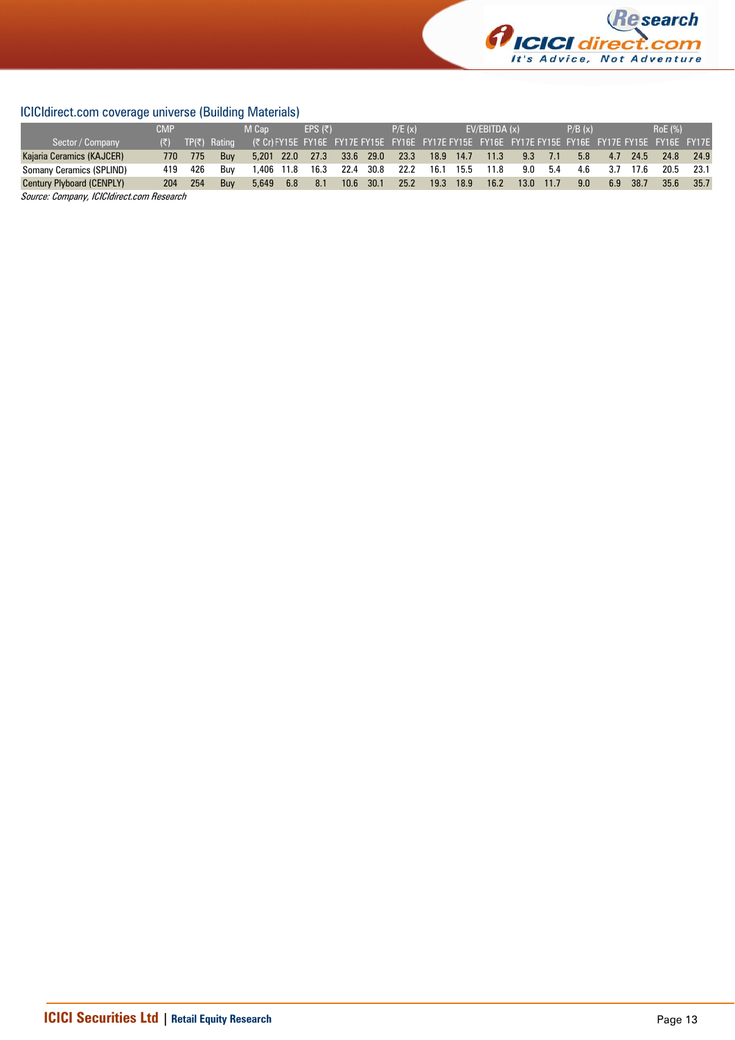

## ICICIdirect.com coverage universe (Building Materials)

|                                  | <b>CMP</b> |     |              | M Cap      |      | FPS $(\bar{z})$ |      |      | P/E(x) |                                                                                                        |           | EV/EBITDA (x) |      |      | P/B(x) |     |      | RoE (%) |      |
|----------------------------------|------------|-----|--------------|------------|------|-----------------|------|------|--------|--------------------------------------------------------------------------------------------------------|-----------|---------------|------|------|--------|-----|------|---------|------|
| Sector / Company                 | (₹) -      |     | TP(₹) Rating |            |      |                 |      |      |        | (₹ Cr) FY15E FY16E FY17E FY15E FY16E FY17E FY15E FY15E FY16E FY17E FY16E FY17E FY15E FY16E FY16E FY17E |           |               |      |      |        |     |      |         |      |
| Kajaria Ceramics (KAJCER)        | 770        | 775 | <b>Buv</b>   | 5.201 22.0 |      | 27.3            | 33.6 | 29.0 | 23.3   | 18.9 14.7                                                                                              |           | 11.3          | 9.3  | 7.1  | 5.8    | 4.7 | 24.5 | 24.8    | 24.9 |
| Somany Ceramics (SPLIND)         | 419        | 426 | Buv          | .406       | 11.8 | 16.3            | 22.4 | 30.8 | 22.2   | 16.1                                                                                                   | 15.5      | 11.8          | 9.0  | 5.4  | 4.6    | 3.7 | 17.6 | 20.5    | 23.1 |
| <b>Century Plyboard (CENPLY)</b> | 204        | 254 | <b>Buv</b>   | 5,649      | 6.8  | 8.1             | 10.6 | 30.1 | 25.2   |                                                                                                        | 19.3 18.9 | 16.2          | 13.0 | 11.7 | 9.0    | 6.9 | 38.7 | 35.6    | 35.7 |
| $\sim$<br>$\sim$                 |            |     |              |            |      |                 |      |      |        |                                                                                                        |           |               |      |      |        |     |      |         |      |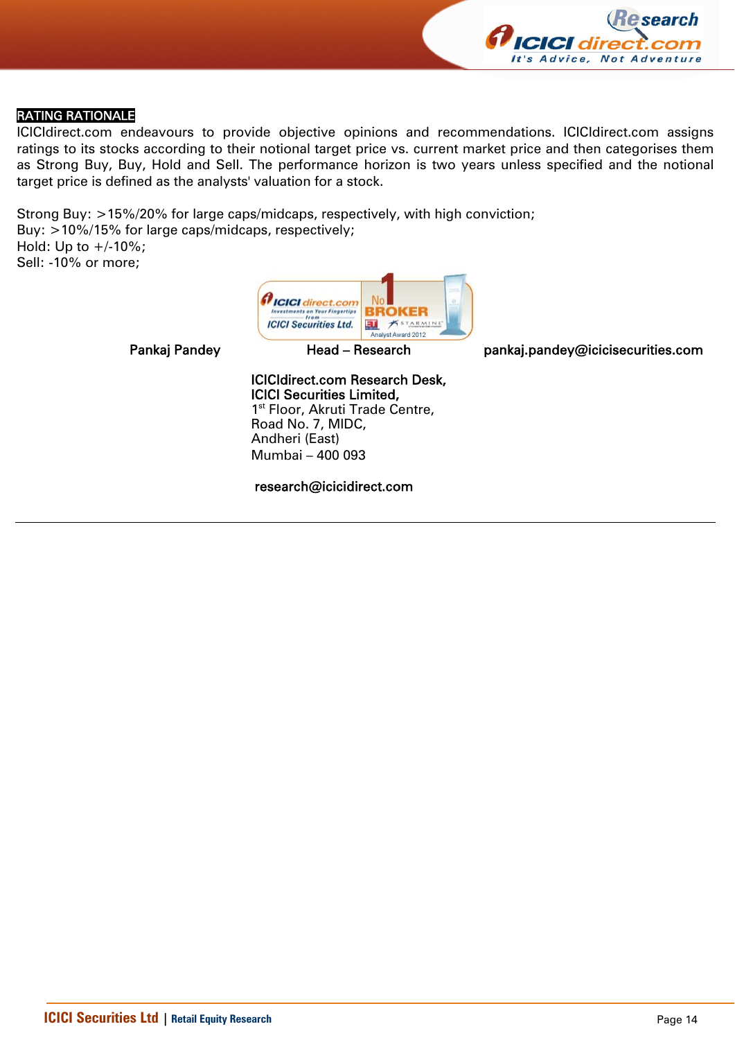

## RATING RATIONALE

ICICIdirect.com endeavours to provide objective opinions and recommendations. ICICIdirect.com assigns ratings to its stocks according to their notional target price vs. current market price and then categorises them as Strong Buy, Buy, Hold and Sell. The performance horizon is two years unless specified and the notional target price is defined as the analysts' valuation for a stock.

Strong Buy: >15%/20% for large caps/midcaps, respectively, with high conviction; Buy: >10%/15% for large caps/midcaps, respectively; Hold: Up to  $+/10%$ ; Sell: -10% or more;



Pankaj Pandey **Head – Research head pankaj.pandey@icicisecurities.com** 

ICICIdirect.com Research Desk, ICICI Securities Limited, 1<sup>st</sup> Floor, Akruti Trade Centre, Road No. 7, MIDC, Andheri (East) Mumbai – 400 093

research@icicidirect.com